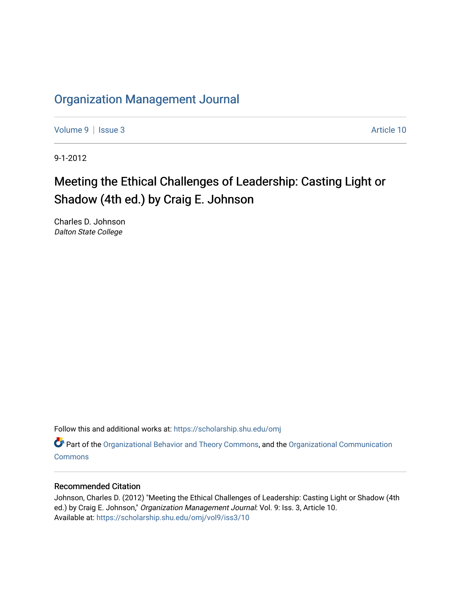# [Organization Management Journal](https://scholarship.shu.edu/omj)

[Volume 9](https://scholarship.shu.edu/omj/vol9) | [Issue 3](https://scholarship.shu.edu/omj/vol9/iss3) Article 10

9-1-2012

# Meeting the Ethical Challenges of Leadership: Casting Light or Shadow (4th ed.) by Craig E. Johnson

Charles D. Johnson Dalton State College

Follow this and additional works at: [https://scholarship.shu.edu/omj](https://scholarship.shu.edu/omj?utm_source=scholarship.shu.edu%2Fomj%2Fvol9%2Fiss3%2F10&utm_medium=PDF&utm_campaign=PDFCoverPages) 

Part of the [Organizational Behavior and Theory Commons,](http://network.bepress.com/hgg/discipline/639?utm_source=scholarship.shu.edu%2Fomj%2Fvol9%2Fiss3%2F10&utm_medium=PDF&utm_campaign=PDFCoverPages) and the [Organizational Communication](http://network.bepress.com/hgg/discipline/335?utm_source=scholarship.shu.edu%2Fomj%2Fvol9%2Fiss3%2F10&utm_medium=PDF&utm_campaign=PDFCoverPages) **[Commons](http://network.bepress.com/hgg/discipline/335?utm_source=scholarship.shu.edu%2Fomj%2Fvol9%2Fiss3%2F10&utm_medium=PDF&utm_campaign=PDFCoverPages)** 

### Recommended Citation

Johnson, Charles D. (2012) "Meeting the Ethical Challenges of Leadership: Casting Light or Shadow (4th ed.) by Craig E. Johnson," Organization Management Journal: Vol. 9: Iss. 3, Article 10. Available at: [https://scholarship.shu.edu/omj/vol9/iss3/10](https://scholarship.shu.edu/omj/vol9/iss3/10?utm_source=scholarship.shu.edu%2Fomj%2Fvol9%2Fiss3%2F10&utm_medium=PDF&utm_campaign=PDFCoverPages)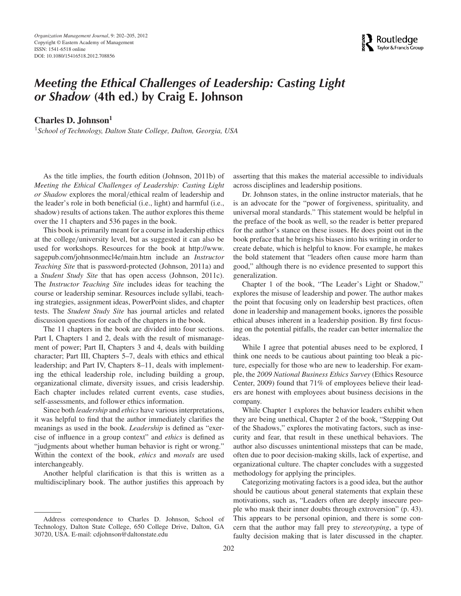

## *Meeting the Ethical Challenges of Leadership: Casting Light or Shadow* **(4th ed.) by Craig E. Johnson**

**Charles D. Johnson<sup>1</sup>**

<sup>1</sup>*School of Technology, Dalton State College, Dalton, Georgia, USA*

As the title implies, the fourth edition (Johnson, 2011b) of *Meeting the Ethical Challenges of Leadership: Casting Light or Shadow* explores the moral*/*ethical realm of leadership and the leader's role in both beneficial (i.e., light) and harmful (i.e., shadow) results of actions taken. The author explores this theme over the 11 chapters and 536 pages in the book.

This book is primarily meant for a course in leadership ethics at the college*/*university level, but as suggested it can also be used for workshops. Resources for the book at http://www. sagepub.com/johnsonmecl4e/main.htm include an *Instructor Teaching Site* that is password-protected (Johnson, 2011a) and a *Student Study Site* that has open access (Johnson, 2011c). The *Instructor Teaching Site* includes ideas for teaching the course or leadership seminar. Resources include syllabi, teaching strategies, assignment ideas, PowerPoint slides, and chapter tests. The *Student Study Site* has journal articles and related discussion questions for each of the chapters in the book.

The 11 chapters in the book are divided into four sections. Part I, Chapters 1 and 2, deals with the result of mismanagement of power; Part II, Chapters 3 and 4, deals with building character; Part III, Chapters 5–7, deals with ethics and ethical leadership; and Part IV, Chapters 8–11, deals with implementing the ethical leadership role, including building a group, organizational climate, diversity issues, and crisis leadership. Each chapter includes related current events, case studies, self-assessments, and follower ethics information.

Since both *leadership* and *ethics* have various interpretations, it was helpful to find that the author immediately clarifies the meanings as used in the book. *Leadership* is defined as "exercise of influence in a group context" and *ethics* is defined as "judgments about whether human behavior is right or wrong." Within the context of the book, *ethics* and *morals* are used interchangeably.

Another helpful clarification is that this is written as a multidisciplinary book. The author justifies this approach by asserting that this makes the material accessible to individuals across disciplines and leadership positions.

Dr. Johnson states, in the online instructor materials, that he is an advocate for the "power of forgiveness, spirituality, and universal moral standards." This statement would be helpful in the preface of the book as well, so the reader is better prepared for the author's stance on these issues. He does point out in the book preface that he brings his biases into his writing in order to create debate, which is helpful to know. For example, he makes the bold statement that "leaders often cause more harm than good," although there is no evidence presented to support this generalization.

Chapter 1 of the book, "The Leader's Light or Shadow," explores the misuse of leadership and power. The author makes the point that focusing only on leadership best practices, often done in leadership and management books, ignores the possible ethical abuses inherent in a leadership position. By first focusing on the potential pitfalls, the reader can better internalize the ideas.

While I agree that potential abuses need to be explored, I think one needs to be cautious about painting too bleak a picture, especially for those who are new to leadership. For example, the *2009 National Business Ethics Survey* (Ethics Resource Center, 2009) found that 71% of employees believe their leaders are honest with employees about business decisions in the company.

While Chapter 1 explores the behavior leaders exhibit when they are being unethical, Chapter 2 of the book, "Stepping Out of the Shadows," explores the motivating factors, such as insecurity and fear, that result in these unethical behaviors. The author also discusses unintentional missteps that can be made, often due to poor decision-making skills, lack of expertise, and organizational culture. The chapter concludes with a suggested methodology for applying the principles.

Categorizing motivating factors is a good idea, but the author should be cautious about general statements that explain these motivations, such as, "Leaders often are deeply insecure people who mask their inner doubts through extroversion" (p. 43). This appears to be personal opinion, and there is some concern that the author may fall prey to *stereotyping*, a type of faulty decision making that is later discussed in the chapter.

Address correspondence to Charles D. Johnson, School of Technology, Dalton State College, 650 College Drive, Dalton, GA 30720, USA. E-mail: cdjohnson@daltonstate.edu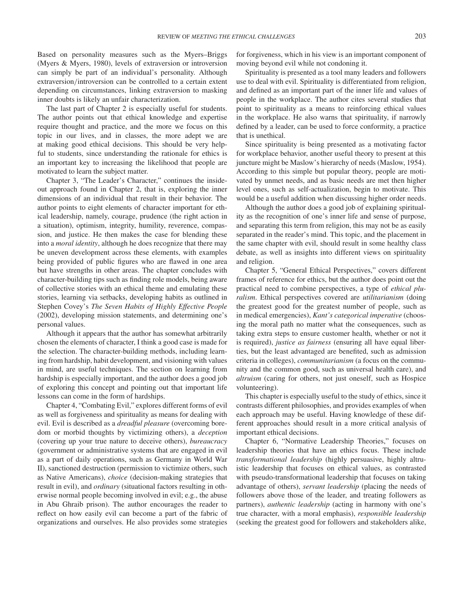Based on personality measures such as the Myers–Briggs (Myers & Myers, 1980), levels of extraversion or introversion can simply be part of an individual's personality. Although extraversion*/*introversion can be controlled to a certain extent depending on circumstances, linking extraversion to masking inner doubts is likely an unfair characterization.

The last part of Chapter 2 is especially useful for students. The author points out that ethical knowledge and expertise require thought and practice, and the more we focus on this topic in our lives, and in classes, the more adept we are at making good ethical decisions. This should be very helpful to students, since understanding the rationale for ethics is an important key to increasing the likelihood that people are motivated to learn the subject matter.

Chapter 3, "The Leader's Character," continues the insideout approach found in Chapter 2, that is, exploring the inner dimensions of an individual that result in their behavior. The author points to eight elements of character important for ethical leadership, namely, courage, prudence (the right action in a situation), optimism, integrity, humility, reverence, compassion, and justice. He then makes the case for blending these into a *moral identity*, although he does recognize that there may be uneven development across these elements, with examples being provided of public figures who are flawed in one area but have strengths in other areas. The chapter concludes with character-building tips such as finding role models, being aware of collective stories with an ethical theme and emulating these stories, learning via setbacks, developing habits as outlined in Stephen Covey's *The Seven Habits of Highly Effective People* (2002), developing mission statements, and determining one's personal values.

Although it appears that the author has somewhat arbitrarily chosen the elements of character, I think a good case is made for the selection. The character-building methods, including learning from hardship, habit development, and visioning with values in mind, are useful techniques. The section on learning from hardship is especially important, and the author does a good job of exploring this concept and pointing out that important life lessons can come in the form of hardships.

Chapter 4, "Combating Evil," explores different forms of evil as well as forgiveness and spirituality as means for dealing with evil. Evil is described as a *dreadful pleasure* (overcoming boredom or morbid thoughts by victimizing others), a *deception* (covering up your true nature to deceive others), *bureaucracy* (government or administrative systems that are engaged in evil as a part of daily operations, such as Germany in World War II), sanctioned destruction (permission to victimize others, such as Native Americans), *choice* (decision-making strategies that result in evil), and *ordinary* (situational factors resulting in otherwise normal people becoming involved in evil; e.g., the abuse in Abu Ghraib prison). The author encourages the reader to reflect on how easily evil can become a part of the fabric of organizations and ourselves. He also provides some strategies for forgiveness, which in his view is an important component of moving beyond evil while not condoning it.

Spirituality is presented as a tool many leaders and followers use to deal with evil. Spirituality is differentiated from religion, and defined as an important part of the inner life and values of people in the workplace. The author cites several studies that point to spirituality as a means to reinforcing ethical values in the workplace. He also warns that spirituality, if narrowly defined by a leader, can be used to force conformity, a practice that is unethical.

Since spirituality is being presented as a motivating factor for workplace behavior, another useful theory to present at this juncture might be Maslow's hierarchy of needs (Maslow, 1954). According to this simple but popular theory, people are motivated by unmet needs, and as basic needs are met then higher level ones, such as self-actualization, begin to motivate. This would be a useful addition when discussing higher order needs.

Although the author does a good job of explaining spirituality as the recognition of one's inner life and sense of purpose, and separating this term from religion, this may not be as easily separated in the reader's mind. This topic, and the placement in the same chapter with evil, should result in some healthy class debate, as well as insights into different views on spirituality and religion.

Chapter 5, "General Ethical Perspectives," covers different frames of reference for ethics, but the author does point out the practical need to combine perspectives, a type of *ethical pluralism*. Ethical perspectives covered are *utilitarianism* (doing the greatest good for the greatest number of people, such as in medical emergencies), *Kant's categorical imperative* (choosing the moral path no matter what the consequences, such as taking extra steps to ensure customer health, whether or not it is required), *justice as fairness* (ensuring all have equal liberties, but the least advantaged are benefited, such as admission criteria in colleges), *communitarianism* (a focus on the community and the common good, such as universal health care), and *altruism* (caring for others, not just oneself, such as Hospice volunteering).

This chapter is especially useful to the study of ethics, since it contrasts different philosophies, and provides examples of when each approach may be useful. Having knowledge of these different approaches should result in a more critical analysis of important ethical decisions.

Chapter 6, "Normative Leadership Theories," focuses on leadership theories that have an ethics focus. These include *transformational leadership* (highly persuasive, highly altruistic leadership that focuses on ethical values, as contrasted with pseudo-transformational leadership that focuses on taking advantage of others), *servant leadership* (placing the needs of followers above those of the leader, and treating followers as partners), *authentic leadership* (acting in harmony with one's true character, with a moral emphasis), *responsible leadership* (seeking the greatest good for followers and stakeholders alike,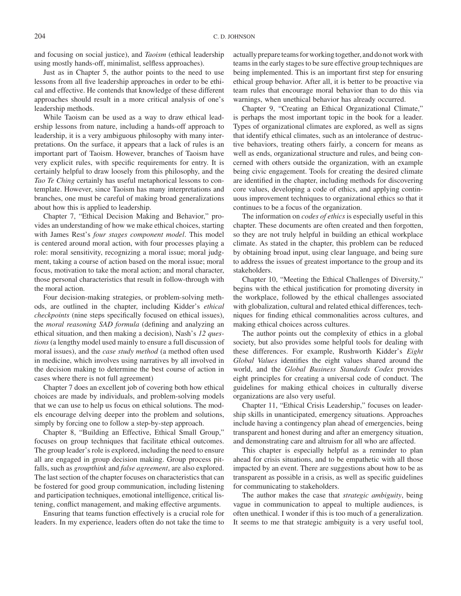and focusing on social justice), and *Taoism* (ethical leadership using mostly hands-off, minimalist, selfless approaches).

Just as in Chapter 5, the author points to the need to use lessons from all five leadership approaches in order to be ethical and effective. He contends that knowledge of these different approaches should result in a more critical analysis of one's leadership methods.

While Taoism can be used as a way to draw ethical leadership lessons from nature, including a hands-off approach to leadership, it is a very ambiguous philosophy with many interpretations. On the surface, it appears that a lack of rules is an important part of Taoism. However, branches of Taoism have very explicit rules, with specific requirements for entry. It is certainly helpful to draw loosely from this philosophy, and the *Tao Te Ching* certainly has useful metaphorical lessons to contemplate. However, since Taoism has many interpretations and branches, one must be careful of making broad generalizations about how this is applied to leadership.

Chapter 7, "Ethical Decision Making and Behavior," provides an understanding of how we make ethical choices, starting with James Rest's *four stages component model*. This model is centered around moral action, with four processes playing a role: moral sensitivity, recognizing a moral issue; moral judgment, taking a course of action based on the moral issue; moral focus, motivation to take the moral action; and moral character, those personal characteristics that result in follow-through with the moral action.

Four decision-making strategies, or problem-solving methods, are outlined in the chapter, including Kidder's *ethical checkpoints* (nine steps specifically focused on ethical issues), the *moral reasoning SAD formula* (defining and analyzing an ethical situation, and then making a decision), Nash's *12 questions* (a lengthy model used mainly to ensure a full discussion of moral issues), and the *case study method* (a method often used in medicine, which involves using narratives by all involved in the decision making to determine the best course of action in cases where there is not full agreement)

Chapter 7 does an excellent job of covering both how ethical choices are made by individuals, and problem-solving models that we can use to help us focus on ethical solutions. The models encourage delving deeper into the problem and solutions, simply by forcing one to follow a step-by-step approach.

Chapter 8, "Building an Effective, Ethical Small Group," focuses on group techniques that facilitate ethical outcomes. The group leader's role is explored, including the need to ensure all are engaged in group decision making. Group process pitfalls, such as *groupthink* and *false agreement*, are also explored. The last section of the chapter focuses on characteristics that can be fostered for good group communication, including listening and participation techniques, emotional intelligence, critical listening, conflict management, and making effective arguments.

Ensuring that teams function effectively is a crucial role for leaders. In my experience, leaders often do not take the time to

actually prepare teams for working together, and do not work with teams in the early stages to be sure effective group techniques are being implemented. This is an important first step for ensuring ethical group behavior. After all, it is better to be proactive via team rules that encourage moral behavior than to do this via warnings, when unethical behavior has already occurred.

Chapter 9, "Creating an Ethical Organizational Climate," is perhaps the most important topic in the book for a leader. Types of organizational climates are explored, as well as signs that identify ethical climates, such as an intolerance of destructive behaviors, treating others fairly, a concern for means as well as ends, organizational structure and rules, and being concerned with others outside the organization, with an example being civic engagement. Tools for creating the desired climate are identified in the chapter, including methods for discovering core values, developing a code of ethics, and applying continuous improvement techniques to organizational ethics so that it continues to be a focus of the organization.

The information on *codes of ethics* is especially useful in this chapter. These documents are often created and then forgotten, so they are not truly helpful in building an ethical workplace climate. As stated in the chapter, this problem can be reduced by obtaining broad input, using clear language, and being sure to address the issues of greatest importance to the group and its stakeholders.

Chapter 10, "Meeting the Ethical Challenges of Diversity," begins with the ethical justification for promoting diversity in the workplace, followed by the ethical challenges associated with globalization, cultural and related ethical differences, techniques for finding ethical commonalities across cultures, and making ethical choices across cultures.

The author points out the complexity of ethics in a global society, but also provides some helpful tools for dealing with these differences. For example, Rushworth Kidder's *Eight Global Values* identifies the eight values shared around the world, and the *Global Business Standards Codex* provides eight principles for creating a universal code of conduct. The guidelines for making ethical choices in culturally diverse organizations are also very useful.

Chapter 11, "Ethical Crisis Leadership," focuses on leadership skills in unanticipated, emergency situations. Approaches include having a contingency plan ahead of emergencies, being transparent and honest during and after an emergency situation, and demonstrating care and altruism for all who are affected.

This chapter is especially helpful as a reminder to plan ahead for crisis situations, and to be empathetic with all those impacted by an event. There are suggestions about how to be as transparent as possible in a crisis, as well as specific guidelines for communicating to stakeholders.

The author makes the case that *strategic ambiguity*, being vague in communication to appeal to multiple audiences, is often unethical. I wonder if this is too much of a generalization. It seems to me that strategic ambiguity is a very useful tool,